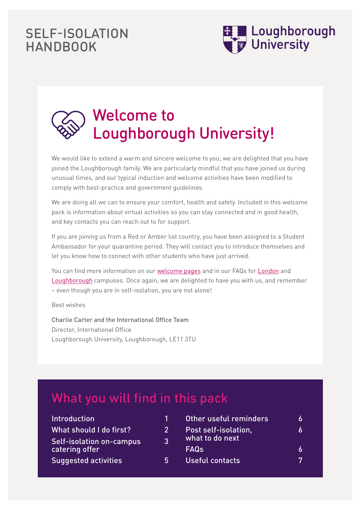## SELF-ISOLATION **HANDBOOK**



# Welcome to Loughborough University!

We would like to extend a warm and sincere welcome to you; we are delighted that you have joined the Loughborough family. We are particularly mindful that you have joined us during unusual times, and our typical induction and welcome activities have been modified to comply with best-practice and government guidelines.

We are doing all we can to ensure your comfort, health and safety. Included in this welcome pack is information about virtual activities so you can stay connected and in good health, and key contacts you can reach out to for support.

If you are joining us from a Red or Amber list country, you have been assigned to a Student Ambassador for your quarantine period. They will contact you to introduce themselves and let you know how to connect with other students who have just arrived.

You can find more information on our [welcome pages](https://www.lboro.ac.uk/students/welcome/) and in our FAQs for [London](https://www.lborolondon.ac.uk/study/international/offer-holders/international-faqs/) and [Loughborough](https://www.lboro.ac.uk/students/welcome/international/faqs/) campuses. Once again, we are delighted to have you with us, and remember – even though you are in self-isolation, you are not alone!

Best wishes

Charlie Carter and the International Office Team Director, International Office Loughborough University, Loughborough, LE11 3TU

# What you will find in this pack

| <b>Introduction</b>             | T              | Other useful reminders | 6 |
|---------------------------------|----------------|------------------------|---|
| What should I do first?         | 2 <sup>1</sup> | Post self-isolation,   | 6 |
| <b>Self-isolation on-campus</b> | 3 <sup>1</sup> | what to do next        |   |
| catering offer                  |                | <b>FAQs</b>            | 6 |
| <b>Suggested activities</b>     | 5              | Useful contacts        | 7 |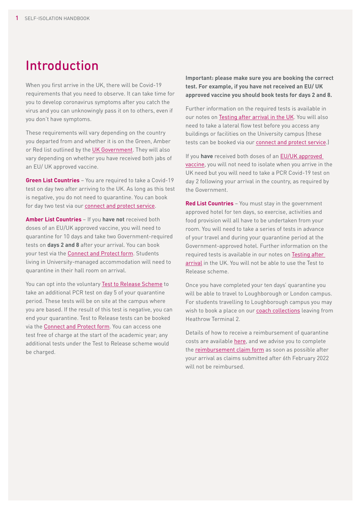## Introduction

When you first arrive in the UK, there will be Covid-19 requirements that you need to observe. It can take time for you to develop coronavirus symptoms after you catch the virus and you can unknowingly pass it on to others, even if you don't have symptoms.

These requirements will vary depending on the country you departed from and whether it is on the Green, Amber or Red list outlined by the [UK Government.](https://www.gov.uk/guidance/red-amber-and-green-list-rules-for-entering-england) They will also vary depending on whether you have received both jabs of an EU/ UK approved vaccine.

**Green List Countries** – You are required to take a Covid-19 test on day two after arriving to the UK. As long as this test is negative, you do not need to quarantine. You can book for day two test via our [connect and protect service](https://www.lboro.ac.uk/internal/studying-working-living/symptoms-covid-19/connect-protect/).

**Amber List Countries** – If you **have not** received both doses of an EU/UK approved vaccine, you will need to quarantine for 10 days and take two Government-required tests on **days 2 and 8** after your arrival. You can book your test via the [Connect and Protect form.](https://forms.office.com/pages/responsepage.aspx?id=wE8mz7iun0SQVILORFQISykatwBC9iVHmfRPnka7Fo9UQVlURDg3V0NaTUMxSUoxSjhYT1lSTUdPWi4u&wdLOR=c35D2E470-5F82-3646-85EF-35CB39D5A1D5) Students living in University-managed accommodation will need to quarantine in their hall room on arrival.

You can opt into the voluntary [Test to Release Scheme](https://www.gov.uk/guidance/coronavirus-covid-19-test-to-release-for-international-travel) to take an additional PCR test on day 5 of your quarantine period. These tests will be on site at the campus where you are based. If the result of this test is negative, you can end your quarantine. Test to Release tests can be booked via the [Connect and Protect form.](https://forms.office.com/pages/responsepage.aspx?id=wE8mz7iun0SQVILORFQISykatwBC9iVHmfRPnka7Fo9UQVlURDg3V0NaTUMxSUoxSjhYT1lSTUdPWi4u&wdLOR=cB0B8E935-544A-4540-B17F-10D8B4D4BA5B) You can access one test free of charge at the start of the academic year; any additional tests under the Test to Release scheme would be charged.

**Important: please make sure you are booking the correct test. For example, if you have not received an EU/ UK approved vaccine you should book tests for days 2 and 8.** 

Further information on the required tests is available in our notes on [Testing after arrival in the UK.](https://www.lboro.ac.uk/internal/studying-working-living/students/travel-from-overseas/) You will also need to take a lateral flow test before you access any buildings or facilities on the University campus (these tests can be booked via our [connect and protect service.](https://www.lboro.ac.uk/internal/studying-working-living/symptoms-covid-19/connect-protect/))

If you **have** received both doses of an [EU/UK approved](https://www.gov.uk/guidance/how-to-quarantine-when-you-arrive-in-england)  [vaccine](https://www.gov.uk/guidance/how-to-quarantine-when-you-arrive-in-england), you will not need to isolate when you arrive in the UK need but you will need to take a PCR Covid-19 test on day 2 following your arrival in the country, as required by the Government.

**Red List Countries** – You must stay in the government approved hotel for ten days, so exercise, activities and food provision will all have to be undertaken from your room. You will need to take a series of tests in advance of your travel and during your quarantine period at the Government-approved hotel. Further information on the required tests is available in our notes on [Testing after](https://www.lboro.ac.uk/internal/studying-working-living/students/travel-from-overseas/)  [arrival](https://www.lboro.ac.uk/internal/studying-working-living/students/travel-from-overseas/) in the UK. You will not be able to use the Test to Release scheme.

Once you have completed your ten days' quarantine you will be able to travel to Loughborough or London campus. For students travelling to Loughborough campus you may wish to book a place on our [coach collections](https://www.lboro.ac.uk/international/locations/loughborough/travel-information/heathrow-coach-service/) leaving from Heathrow Terminal 2.

Details of how to receive a reimbursement of quarantine costs are available [here](https://www.lboro.ac.uk/internal/studying-working-living/students/travel-from-overseas/), and we advise you to complete the [reimbursement claim form](https://forms.office.com/pages/responsepage.aspx?id=wE8mz7iun0SQVILORFQIS4Cjc0YqkDpOnJNrj-gUI21UQ0gxVzZBUTNQQ0dVMERSNEZMVUFYQTROVy4u&wdLOR=c74E3CEAE-8FF9-1448-8254-1F13E2EE811A) as soon as possible after your arrival as claims submitted after 6th February 2022 will not be reimbursed.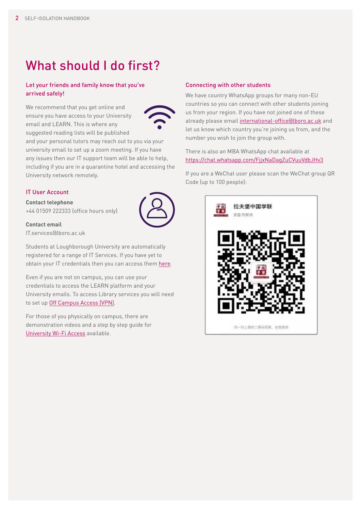# What should I do first?

#### Let your friends and family know that you've arrived safely!

We recommend that you get online and ensure you have access to your University email and LEARN. This is where any suggested reading lists will be published



and your personal tutors may reach out to you via your university email to set up a zoom meeting. If you have any issues then our IT support team will be able to help, including if you are in a quarantine hotel and accessing the University network remotely.

### IT User Account

**Contact telephone** +44 01509 222333 (office hours only)

**Contact email**

[IT.services@lboro.ac.uk](mailto:IT.services%40lboro.ac.uk%20?subject=) 

Students at Loughborough University are automatically registered for a range of IT Services. If you have yet to obtain your IT credentials then you can access them [here](https://www.lboro.ac.uk/services/it/student/useraccount/new/).

Even if you are not on campus, you can use your credentials to access the LEARN platform and your University emails. To access Library services you will need to set up [Off Campus Access \(VPN\)](https://www.lboro.ac.uk/services/it/student/vpn/).

For those of you physically on campus, there are demonstration videos and a step by step guide for [University Wi-Fi Access](https://www.lboro.ac.uk/services/it/student/wifi/) available.

#### Connecting with other students

We have country WhatsApp groups for many non-EU countries so you can connect with other students joining us from your region. If you have not joined one of these already please email [international-office@lboro.ac.uk](mailto:international-office%40lboro.ac.uk?subject=) and let us know which country you're joining us from, and the number you wish to join the group with.

There is also an MBA WhatsApp chat available at <https://chat.whatsapp.com/FjjxNaDagZuCVuuVdbJHv3>

If you are a WeChat user please scan the WeChat group QR Code (up to 100 people):



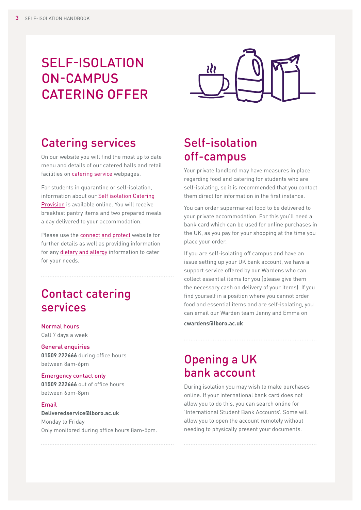## SELF-ISOLATION ON-CAMPUS CATERING OFFER



### Catering services

On our website you will find the most up to date menu and details of our catered halls and retail facilities on [catering service](https://www.lboro.ac.uk/services/food-drink/news/2020/reopening-dates/) webpages.

For students in quarantine or self-isolation, information about our [Self isolation Catering](https://www.lboro.ac.uk/services/food-drink/news/2020/self-isolating-students/)  [Provision](https://www.lboro.ac.uk/services/food-drink/news/2020/self-isolating-students/) is available online. You will receive breakfast pantry items and two prepared meals a day delivered to your accommodation.

Please use the **connect and protect** website for further details as well as providing information for any [dietary and allergy](https://forms.office.com/Pages/ResponsePage.aspx?id=wE8mz7iun0SQVILORFQISzpg4MJpkXlLhHpoB6drZs1UMVYzRFNOTlBXR1BXNU1TOURXOVlYQzdRRSQlQCN0PWcu&wdLOR=cB30F1B79-9B95-9947-8884-5A05F38AAFD4) information to cater for your needs.

### Contact catering services

Normal hours Call 7 days a week

General enquiries **01509 222666** during office hours between 8am-6pm

#### Emergency contact only **01509 222666** out of office hours

between 6pm-8pm

### Email **[Deliveredservice@lboro.ac.uk](mailto:Deliveredservice%40lboro.ac.uk?subject=)** Monday to Friday Only monitored during office hours 8am-5pm.

### Self-isolation off-campus

Your private landlord may have measures in place regarding food and catering for students who are self-isolating, so it is recommended that you contact them direct for information in the first instance.

You can order supermarket food to be delivered to your private accommodation. For this you'll need a bank card which can be used for online purchases in the UK, as you pay for your shopping at the time you place your order.

If you are self-isolating off campus and have an issue setting up your UK bank account, we have a support service offered by our Wardens who can collect essential items for you (please give them the necessary cash on delivery of your items). If you find yourself in a position where you cannot order food and essential items and are self-isolating, you can email our Warden team Jenny and Emma on

**[cwardens@lboro.ac.uk](mailto:cwardens%40lboro.ac.uk?subject=)**

### Opening a UK bank account

During isolation you may wish to make purchases online. If your international bank card does not allow you to do this, you can search online for 'International Student Bank Accounts'. Some will allow you to open the account remotely without needing to physically present your documents.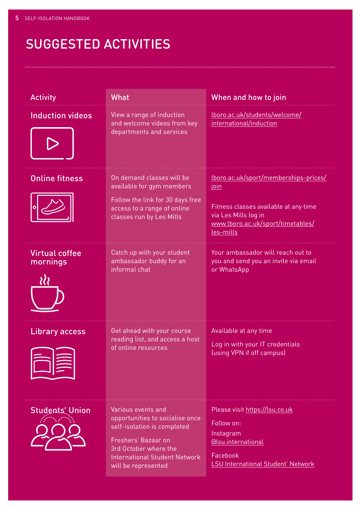# SUGGESTED ACTIVITIES

| <b>Activity</b>                   | <b>What</b>                                                                                                                                                                                         | When and how to join                                                                                                                                                    |
|-----------------------------------|-----------------------------------------------------------------------------------------------------------------------------------------------------------------------------------------------------|-------------------------------------------------------------------------------------------------------------------------------------------------------------------------|
| <b>Induction videos</b>           | View a range of induction<br>and welcome videos from key<br>departments and services                                                                                                                | lboro.ac.uk/students/welcome/<br>international/induction                                                                                                                |
| <b>Online fitness</b>             | On demand classes will be<br>available for gym members<br>Follow the link for 30 days free<br>access to a range of online<br>classes run by Les Mills                                               | lboro.ac.uk/sport/memberships-prices/<br><u>join</u><br>Fitness classes available at any time<br>via Les Mills log in<br>www.lboro.ac.uk/sport/timetables/<br>les-mills |
| <b>Virtual coffee</b><br>mornings | Catch up with your student<br>ambassador buddy for an<br>informal chat                                                                                                                              | Your ambassador will reach out to<br>you and send you an invite via email<br>or WhatsApp                                                                                |
| Library access                    | Get ahead with your course<br>reading list, and access a host<br>of online resources                                                                                                                | Available at any time<br>Log in with your IT credentials<br>(using VPN if off campus)                                                                                   |
| <b>Students</b> ' Union           | Various events and<br>opportunities to socialise once<br>self-isolation is completed<br>Freshers' Bazaar on<br>3rd October where the<br><b>International Student Network</b><br>will be represented | Please visit https://lsu.co.uk<br>Follow on:<br>Instagram<br><b><i><u><u>Glsu.international</u></u></i></b><br>Facebook<br><b>LSU International Student' Network</b>    |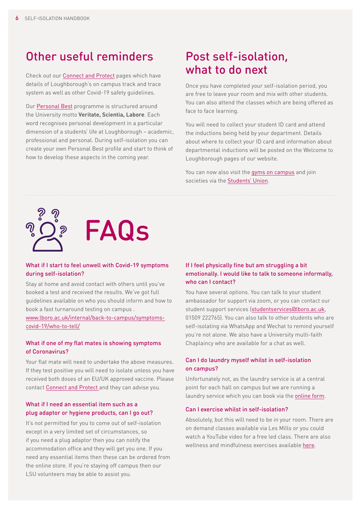### Other useful reminders

Check out our [Connect and Protect](https://www.lboro.ac.uk/internal/studying-working-living/symptoms-covid-19/connect-protect/) pages which have details of Loughborough's on campus track and trace system as well as other Covid-19 safety guidelines.

Our [Personal Best](https://www.lboro.ac.uk/students/personal-best/) programme is structured around the University motto **Veritate, Scientia, Labore**. Each word recognises personal development in a particular dimension of a students' life at Loughborough – academic, professional and personal. During self-isolation you can create your own Personal Best profile and start to think of how to develop these aspects in the coming year.

### Post self-isolation, what to do next

Once you have completed your self-isolation period, you are free to leave your room and mix with other students. You can also attend the classes which are being offered as face to face learning.

You will need to collect your student ID card and attend the inductions being held by your department. Details about where to collect your ID card and information about departmental inductions will be posted on the Welcome to Loughborough pages of our website.

You can now also visit the **gyms on campus** and join societies via the **Students' Union**.





#### What if I start to feel unwell with Covid-19 symptoms during self-isolation?

Stay at home and avoid contact with others until you've booked a test and received the results. We've got full guidelines available on who you should inform and how to book a fast turnaround testing on campus . www.lboro.ac.uk/internal/back-to-campus/symptomscovid-19/who-to-tell/

#### What if one of my flat mates is showing symptoms of Coronavirus?

Your flat mate will need to undertake the above measures. If they test positive you will need to isolate unless you have received both doses of an EU/UK approved vaccine. Please contact [Connect and Protect a](https://www.lboro.ac.uk/internal/studying-working-living/symptoms-covid-19/connect-protect/)nd they can advise you.

### What if I need an essential item such as a plug adaptor or hygiene products, can I go out?

It's not permitted for you to come out of self-isolation except in a very limited set of circumstances, so if you need a plug adaptor then you can notify the accommodation office and they will get you one. If you need any essential items then these can be ordered from the online store. If you're staying off campus then our LSU volunteers may be able to assist you.

### If I feel physically fine but am struggling a bit emotionally. I would like to talk to someone informally, who can I contact?

You have several options. You can talk to your student ambassador for support via zoom, or you can contact our student support services [\(studentservices@lboro.ac.uk](mailto:studentservices%40lboro.ac.uk?subject=), 01509 222765). You can also talk to other students who are self-isolating via WhatsApp and Wechat to remind yourself you're not alone. We also have a University multi-faith Chaplaincy who are available for a chat as well.

### Can I do laundry myself whilst in self-isolation on campus?

Unfortunately not, as the laundry service is at a central point for each hall on campus but we are running a laundry service which you can book via the [online form.](https://www.lboro.ac.uk/internal/studying-working-living/symptoms-covid-19/self-isolation/on-campus-support/laundry/)

#### Can I exercise whilst in self-isolation?

Absolutely, but this will need to be in your room. There are on demand classes available via Les Mills or you could watch a YouTube video for a free led class. There are also wellness and mindfulness exercises available [here.](https://www.lboro.ac.uk/services/student-services/support/healthandwellbeing/selfhelp/at-home/)